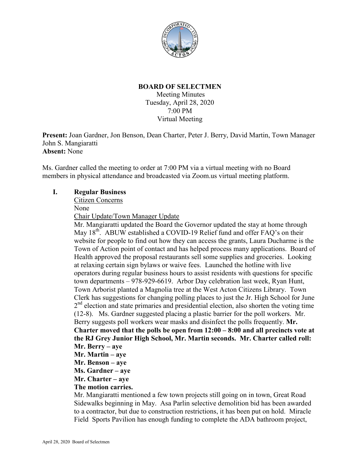

### **BOARD OF SELECTMEN**

Meeting Minutes Tuesday, April 28, 2020 7:00 PM Virtual Meeting

**Present:** Joan Gardner, Jon Benson, Dean Charter, Peter J. Berry, David Martin, Town Manager John S. Mangiaratti **Absent:** None

Ms. Gardner called the meeting to order at 7:00 PM via a virtual meeting with no Board members in physical attendance and broadcasted via Zoom.us virtual meeting platform.

#### **I. Regular Business**

Citizen Concerns

None

Chair Update/Town Manager Update

Mr. Mangiaratti updated the Board the Governor updated the stay at home through May  $18^{th}$ . ABUW established a COVID-19 Relief fund and offer FAQ's on their website for people to find out how they can access the grants, Laura Ducharme is the Town of Action point of contact and has helped process many applications. Board of Health approved the proposal restaurants sell some supplies and groceries. Looking at relaxing certain sign bylaws or waive fees. Launched the hotline with live operators during regular business hours to assist residents with questions for specific town departments – 978-929-6619. Arbor Day celebration last week, Ryan Hunt, Town Arborist planted a Magnolia tree at the West Acton Citizens Library. Town Clerk has suggestions for changing polling places to just the Jr. High School for June  $2<sup>nd</sup>$  election and state primaries and presidential election, also shorten the voting time (12-8). Ms. Gardner suggested placing a plastic barrier for the poll workers. Mr. Berry suggests poll workers wear masks and disinfect the polls frequently. **Mr. Charter moved that the polls be open from 12:00 – 8:00 and all precincts vote at the RJ Grey Junior High School, Mr. Martin seconds. Mr. Charter called roll: Mr. Berry – aye Mr. Martin – aye Mr. Benson – aye** 

- **Ms. Gardner aye**
- **Mr. Charter aye**

#### **The motion carries.**

Mr. Mangiaratti mentioned a few town projects still going on in town, Great Road Sidewalks beginning in May. Asa Parlin selective demolition bid has been awarded to a contractor, but due to construction restrictions, it has been put on hold. Miracle Field Sports Pavilion has enough funding to complete the ADA bathroom project,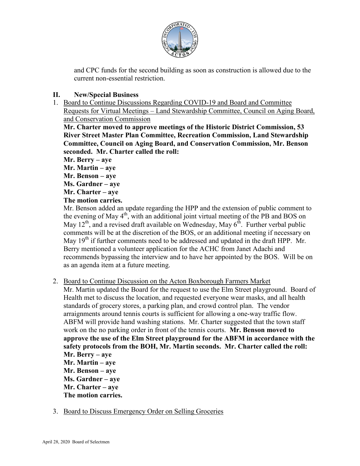

and CPC funds for the second building as soon as construction is allowed due to the current non-essential restriction.

# **II. New/Special Business**

1. Board to Continue Discussions Regarding COVID-19 and Board and Committee Requests for Virtual Meetings – Land Stewardship Committee, Council on Aging Board, and Conservation Commission

**Mr. Charter moved to approve meetings of the Historic District Commission, 53 River Street Master Plan Committee, Recreation Commission, Land Stewardship Committee, Council on Aging Board, and Conservation Commission, Mr. Benson seconded. Mr. Charter called the roll:**

**Mr. Berry – aye** 

**Mr. Martin – aye** 

**Mr. Benson – aye** 

**Ms. Gardner – aye** 

**Mr. Charter – aye** 

# **The motion carries.**

Mr. Benson added an update regarding the HPP and the extension of public comment to the evening of May 4<sup>th</sup>, with an additional joint virtual meeting of the PB and BOS on May  $12^{th}$ , and a revised draft available on Wednesday, May  $6^{th}$ . Further verbal public comments will be at the discretion of the BOS, or an additional meeting if necessary on May 19<sup>th</sup> if further comments need to be addressed and updated in the draft HPP. Mr. Berry mentioned a volunteer application for the ACHC from Janet Adachi and recommends bypassing the interview and to have her appointed by the BOS. Will be on as an agenda item at a future meeting.

- 2. Board to Continue Discussion on the Acton Boxborough Farmers Market
	- Mr. Martin updated the Board for the request to use the Elm Street playground. Board of Health met to discuss the location, and requested everyone wear masks, and all health standards of grocery stores, a parking plan, and crowd control plan. The vendor arraignments around tennis courts is sufficient for allowing a one-way traffic flow. ABFM will provide hand washing stations. Mr. Charter suggested that the town staff work on the no parking order in front of the tennis courts. **Mr. Benson moved to approve the use of the Elm Street playground for the ABFM in accordance with the safety protocols from the BOH, Mr. Martin seconds. Mr. Charter called the roll: Mr. Berry – aye Mr. Martin – aye Mr. Benson – aye Ms. Gardner – aye** 
		-
		- **Mr. Charter aye The motion carries.**
- 3. Board to Discuss Emergency Order on Selling Groceries